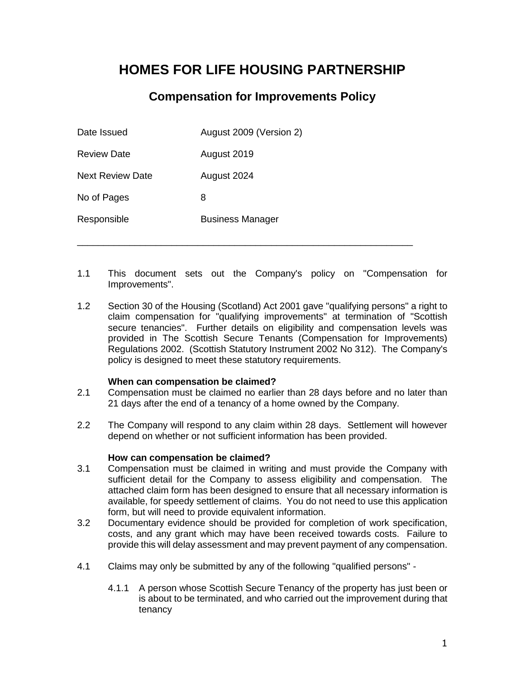# **HOMES FOR LIFE HOUSING PARTNERSHIP**

### **Compensation for Improvements Policy**

| Date Issued             | August 2009 (Version 2) |
|-------------------------|-------------------------|
| <b>Review Date</b>      | August 2019             |
| <b>Next Review Date</b> | August 2024             |
| No of Pages             | 8                       |
| Responsible             | <b>Business Manager</b> |
|                         |                         |

1.1 This document sets out the Company's policy on "Compensation for Improvements".

\_\_\_\_\_\_\_\_\_\_\_\_\_\_\_\_\_\_\_\_\_\_\_\_\_\_\_\_\_\_\_\_\_\_\_\_\_\_\_\_\_\_\_\_\_\_\_\_\_\_\_\_\_\_\_\_\_\_\_\_\_\_\_\_

1.2 Section 30 of the Housing (Scotland) Act 2001 gave "qualifying persons" a right to claim compensation for "qualifying improvements" at termination of "Scottish secure tenancies". Further details on eligibility and compensation levels was provided in The Scottish Secure Tenants (Compensation for Improvements) Regulations 2002. (Scottish Statutory Instrument 2002 No 312). The Company's policy is designed to meet these statutory requirements.

#### **When can compensation be claimed?**

- 2.1 Compensation must be claimed no earlier than 28 days before and no later than 21 days after the end of a tenancy of a home owned by the Company.
- 2.2 The Company will respond to any claim within 28 days. Settlement will however depend on whether or not sufficient information has been provided.

#### **How can compensation be claimed?**

- 3.1 Compensation must be claimed in writing and must provide the Company with sufficient detail for the Company to assess eligibility and compensation. The attached claim form has been designed to ensure that all necessary information is available, for speedy settlement of claims. You do not need to use this application form, but will need to provide equivalent information.
- 3.2 Documentary evidence should be provided for completion of work specification, costs, and any grant which may have been received towards costs. Failure to provide this will delay assessment and may prevent payment of any compensation.
- 4.1 Claims may only be submitted by any of the following "qualified persons"
	- 4.1.1 A person whose Scottish Secure Tenancy of the property has just been or is about to be terminated, and who carried out the improvement during that tenancy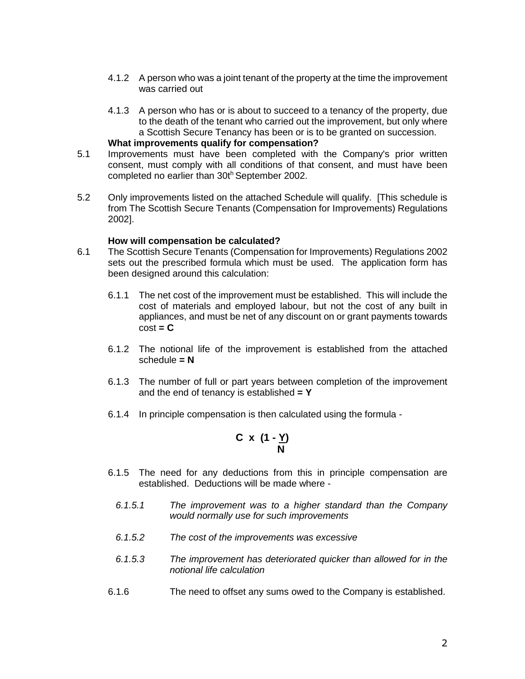- 4.1.2 A person who was a joint tenant of the property at the time the improvement was carried out
- 4.1.3 A person who has or is about to succeed to a tenancy of the property, due to the death of the tenant who carried out the improvement, but only where a Scottish Secure Tenancy has been or is to be granted on succession.

#### **What improvements qualify for compensation?**

- 5.1 Improvements must have been completed with the Company's prior written consent, must comply with all conditions of that consent, and must have been completed no earlier than 30th September 2002.
- 5.2 Only improvements listed on the attached Schedule will qualify. [This schedule is from The Scottish Secure Tenants (Compensation for Improvements) Regulations 2002].

#### **How will compensation be calculated?**

- 6.1 The Scottish Secure Tenants (Compensation for Improvements) Regulations 2002 sets out the prescribed formula which must be used. The application form has been designed around this calculation:
	- 6.1.1 The net cost of the improvement must be established. This will include the cost of materials and employed labour, but not the cost of any built in appliances, and must be net of any discount on or grant payments towards  $cost = C$
	- 6.1.2 The notional life of the improvement is established from the attached schedule **= N**
	- 6.1.3 The number of full or part years between completion of the improvement and the end of tenancy is established **= Y**
	- 6.1.4 In principle compensation is then calculated using the formula -

$$
C \times (1 - \underline{Y})
$$

- 6.1.5 The need for any deductions from this in principle compensation are established. Deductions will be made where -
	- *6.1.5.1 The improvement was to a higher standard than the Company would normally use for such improvements*
	- *6.1.5.2 The cost of the improvements was excessive*
	- *6.1.5.3 The improvement has deteriorated quicker than allowed for in the notional life calculation*
- 6.1.6 The need to offset any sums owed to the Company is established.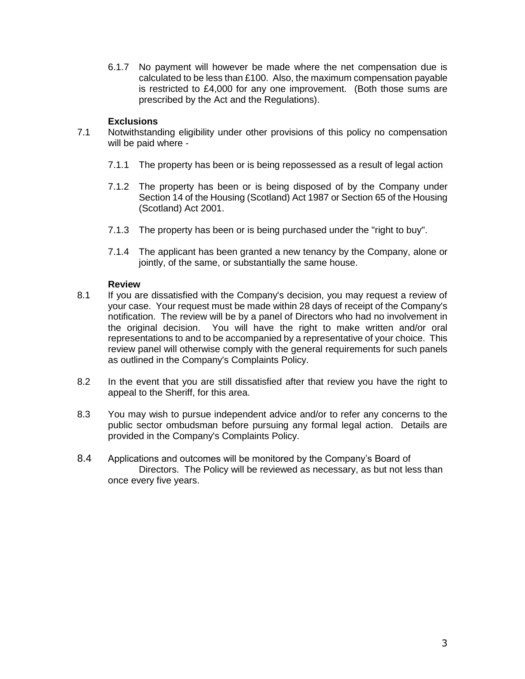6.1.7 No payment will however be made where the net compensation due is calculated to be less than £100. Also, the maximum compensation payable is restricted to £4,000 for any one improvement. (Both those sums are prescribed by the Act and the Regulations).

#### **Exclusions**

- 7.1 Notwithstanding eligibility under other provisions of this policy no compensation will be paid where -
	- 7.1.1 The property has been or is being repossessed as a result of legal action
	- 7.1.2 The property has been or is being disposed of by the Company under Section 14 of the Housing (Scotland) Act 1987 or Section 65 of the Housing (Scotland) Act 2001.
	- 7.1.3 The property has been or is being purchased under the "right to buy".
	- 7.1.4 The applicant has been granted a new tenancy by the Company, alone or jointly, of the same, or substantially the same house.

#### **Review**

- 8.1 If you are dissatisfied with the Company's decision, you may request a review of your case. Your request must be made within 28 days of receipt of the Company's notification. The review will be by a panel of Directors who had no involvement in the original decision. You will have the right to make written and/or oral representations to and to be accompanied by a representative of your choice. This review panel will otherwise comply with the general requirements for such panels as outlined in the Company's Complaints Policy.
- 8.2 In the event that you are still dissatisfied after that review you have the right to appeal to the Sheriff, for this area.
- 8.3 You may wish to pursue independent advice and/or to refer any concerns to the public sector ombudsman before pursuing any formal legal action. Details are provided in the Company's Complaints Policy.
- 8.4 Applications and outcomes will be monitored by the Company's Board of Directors. The Policy will be reviewed as necessary, as but not less than once every five years.